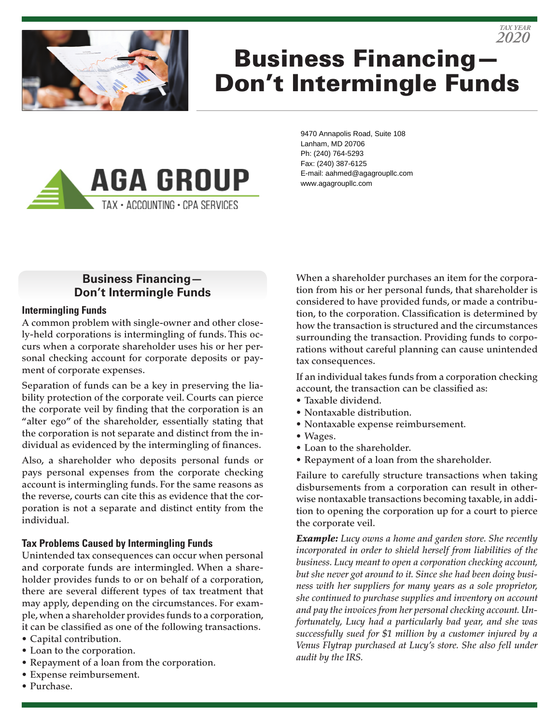

# Business Financing— Don't Intermingle Funds

*2020 TAX YEAR*



9470 Annapolis Road, Suite 108 Lanham, MD 20706 Ph: (240) 764-5293 Fax: (240) 387-6125 E-mail: aahmed@agagroupllc.com www.agagroupllc.com

### **Business Financing— Don't Intermingle Funds**

#### **Intermingling Funds**

A common problem with single-owner and other closely-held corporations is intermingling of funds. This occurs when a corporate shareholder uses his or her personal checking account for corporate deposits or payment of corporate expenses.

Separation of funds can be a key in preserving the liability protection of the corporate veil. Courts can pierce the corporate veil by finding that the corporation is an "alter ego" of the shareholder, essentially stating that the corporation is not separate and distinct from the individual as evidenced by the intermingling of finances.

Also, a shareholder who deposits personal funds or pays personal expenses from the corporate checking account is intermingling funds. For the same reasons as the reverse, courts can cite this as evidence that the corporation is not a separate and distinct entity from the individual.

#### **Tax Problems Caused by Intermingling Funds**

Unintended tax consequences can occur when personal and corporate funds are intermingled. When a shareholder provides funds to or on behalf of a corporation, there are several different types of tax treatment that may apply, depending on the circumstances. For example, when a shareholder provides funds to a corporation, it can be classified as one of the following transactions.

- Capital contribution.
- Loan to the corporation.
- Repayment of a loan from the corporation.
- Expense reimbursement.
- Purchase.

When a shareholder purchases an item for the corporation from his or her personal funds, that shareholder is considered to have provided funds, or made a contribution, to the corporation. Classification is determined by how the transaction is structured and the circumstances surrounding the transaction. Providing funds to corporations without careful planning can cause unintended tax consequences.

If an individual takes funds from a corporation checking account, the transaction can be classified as:

- Taxable dividend.
- Nontaxable distribution.
- Nontaxable expense reimbursement.
- Wages.
- Loan to the shareholder.
- Repayment of a loan from the shareholder.

Failure to carefully structure transactions when taking disbursements from a corporation can result in otherwise nontaxable transactions becoming taxable, in addition to opening the corporation up for a court to pierce the corporate veil.

*Example: Lucy owns a home and garden store. She recently incorporated in order to shield herself from liabilities of the business. Lucy meant to open a corporation checking account, but she never got around to it. Since she had been doing business with her suppliers for many years as a sole proprietor, she continued to purchase supplies and inventory on account and pay the invoices from her personal checking account. Unfortunately, Lucy had a particularly bad year, and she was successfully sued for \$1 million by a customer injured by a Venus Flytrap purchased at Lucy's store. She also fell under audit by the IRS.*